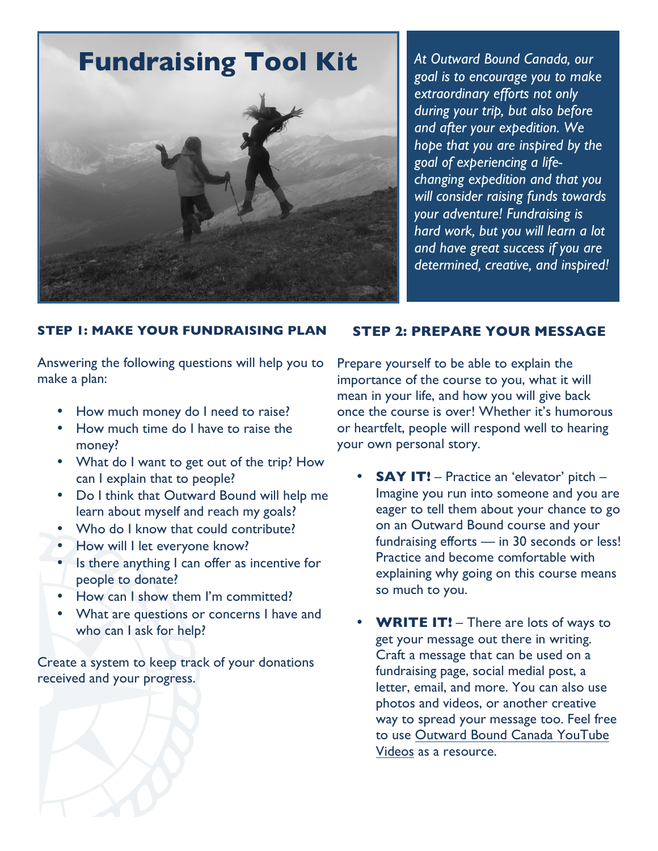

*At Outward Bound Canada, our goal is to encourage you to make extraordinary efforts not only during your trip, but also before and after your expedition. We hope that you are inspired by the goal of experiencing a lifechanging expedition and that you will consider raising funds towards your adventure! Fundraising is hard work, but you will learn a lot and have great success if you are determined, creative, and inspired!* 

#### **STEP 1: MAKE YOUR FUNDRAISING PLAN**

Answering the following questions will help you to make a plan:

- How much money do I need to raise?
- How much time do I have to raise the money?
- What do I want to get out of the trip? How can I explain that to people?
- Do I think that Outward Bound will help me learn about myself and reach my goals?
- Who do I know that could contribute?
- How will I let everyone know?
- Is there anything I can offer as incentive for people to donate?
- How can I show them I'm committed?
- What are questions or concerns I have and who can I ask for help?

Create a system to keep track of your donations received and your progress.

#### **STEP 2: PREPARE YOUR MESSAGE**

Prepare yourself to be able to explain the importance of the course to you, what it will mean in your life, and how you will give back once the course is over! Whether it's humorous or heartfelt, people will respond well to hearing your own personal story.

- **SAY IT!** Practice an 'elevator' pitch Imagine you run into someone and you are eager to tell them about your chance to go on an Outward Bound course and your fundraising efforts  $-$  in 30 seconds or less! Practice and become comfortable with explaining why going on this course means so much to you.
- **WRITE IT!** There are lots of ways to get your message out there in writing. Craft a message that can be used on a fundraising page, social medial post, a letter, email, and more. You can also use photos and videos, or another creative way to spread your message too. Feel free to use Outward Bound Canada YouTube Videos as a resource.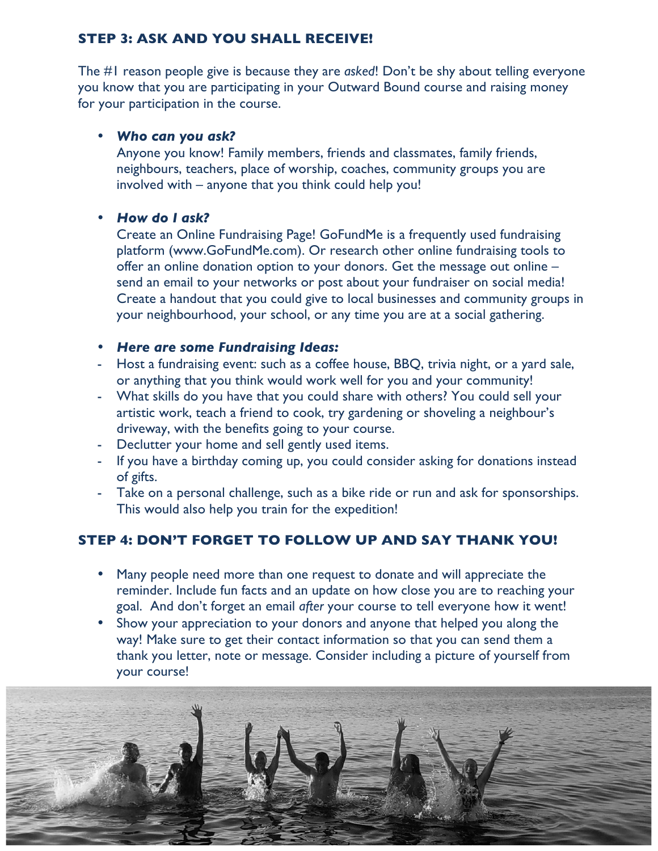## **STEP 3: ASK AND YOU SHALL RECEIVE!**

The #1 reason people give is because they are *asked*! Don't be shy about telling everyone you know that you are participating in your Outward Bound course and raising money for your participation in the course.

#### • *Who can you ask?*

Anyone you know! Family members, friends and classmates, family friends, neighbours, teachers, place of worship, coaches, community groups you are involved with – anyone that you think could help you!

#### • *How do I ask?*

Create an Online Fundraising Page! GoFundMe is a frequently used fundraising platform (www.GoFundMe.com). Or research other online fundraising tools to offer an online donation option to your donors. Get the message out online – send an email to your networks or post about your fundraiser on social media! Create a handout that you could give to local businesses and community groups in your neighbourhood, your school, or any time you are at a social gathering.

#### • *Here are some Fundraising Ideas:*

- Host a fundraising event: such as a coffee house, BBQ, trivia night, or a yard sale, or anything that you think would work well for you and your community!
- What skills do you have that you could share with others? You could sell your artistic work, teach a friend to cook, try gardening or shoveling a neighbour's driveway, with the benefits going to your course.
- Declutter your home and sell gently used items.
- If you have a birthday coming up, you could consider asking for donations instead of gifts.
- Take on a personal challenge, such as a bike ride or run and ask for sponsorships. This would also help you train for the expedition!

### **STEP 4: DON'T FORGET TO FOLLOW UP AND SAY THANK YOU!**

- Many people need more than one request to donate and will appreciate the reminder. Include fun facts and an update on how close you are to reaching your goal. And don't forget an email *after* your course to tell everyone how it went!
- Show your appreciation to your donors and anyone that helped you along the way! Make sure to get their contact information so that you can send them a thank you letter, note or message. Consider including a picture of yourself from your course!

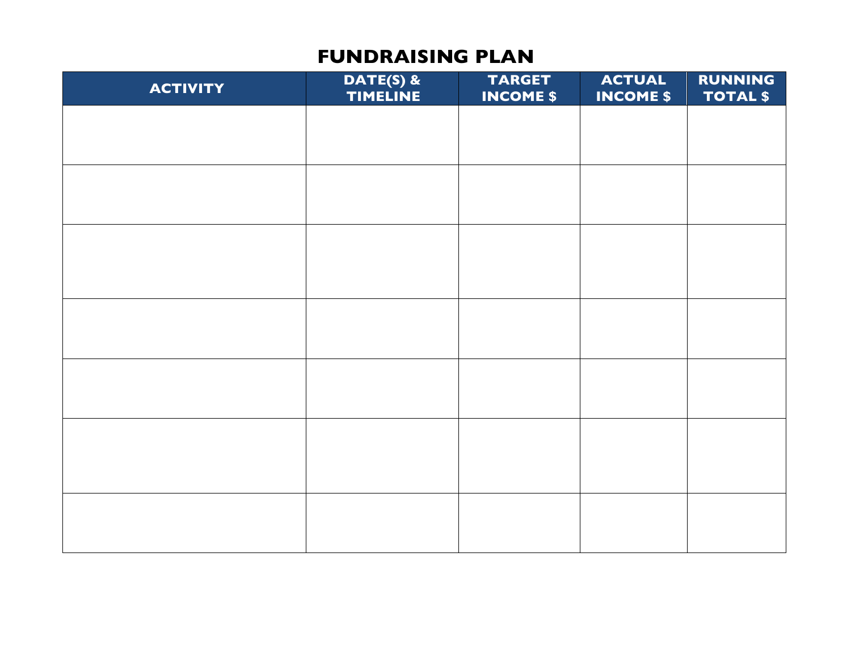# **FUNDRAISING PLAN**

| <b>ACTIVITY</b> | <b>DATE(S) &amp;<br/>TIMELINE</b> | <b>TARGET</b><br><b>INCOME \$</b> | <b>ACTUAL</b><br><b>INCOME \$</b> | RUNNING<br><b>TOTAL \$</b> |
|-----------------|-----------------------------------|-----------------------------------|-----------------------------------|----------------------------|
|                 |                                   |                                   |                                   |                            |
|                 |                                   |                                   |                                   |                            |
|                 |                                   |                                   |                                   |                            |
|                 |                                   |                                   |                                   |                            |
|                 |                                   |                                   |                                   |                            |
|                 |                                   |                                   |                                   |                            |
|                 |                                   |                                   |                                   |                            |
|                 |                                   |                                   |                                   |                            |
|                 |                                   |                                   |                                   |                            |
|                 |                                   |                                   |                                   |                            |
|                 |                                   |                                   |                                   |                            |
|                 |                                   |                                   |                                   |                            |
|                 |                                   |                                   |                                   |                            |
|                 |                                   |                                   |                                   |                            |
|                 |                                   |                                   |                                   |                            |
|                 |                                   |                                   |                                   |                            |